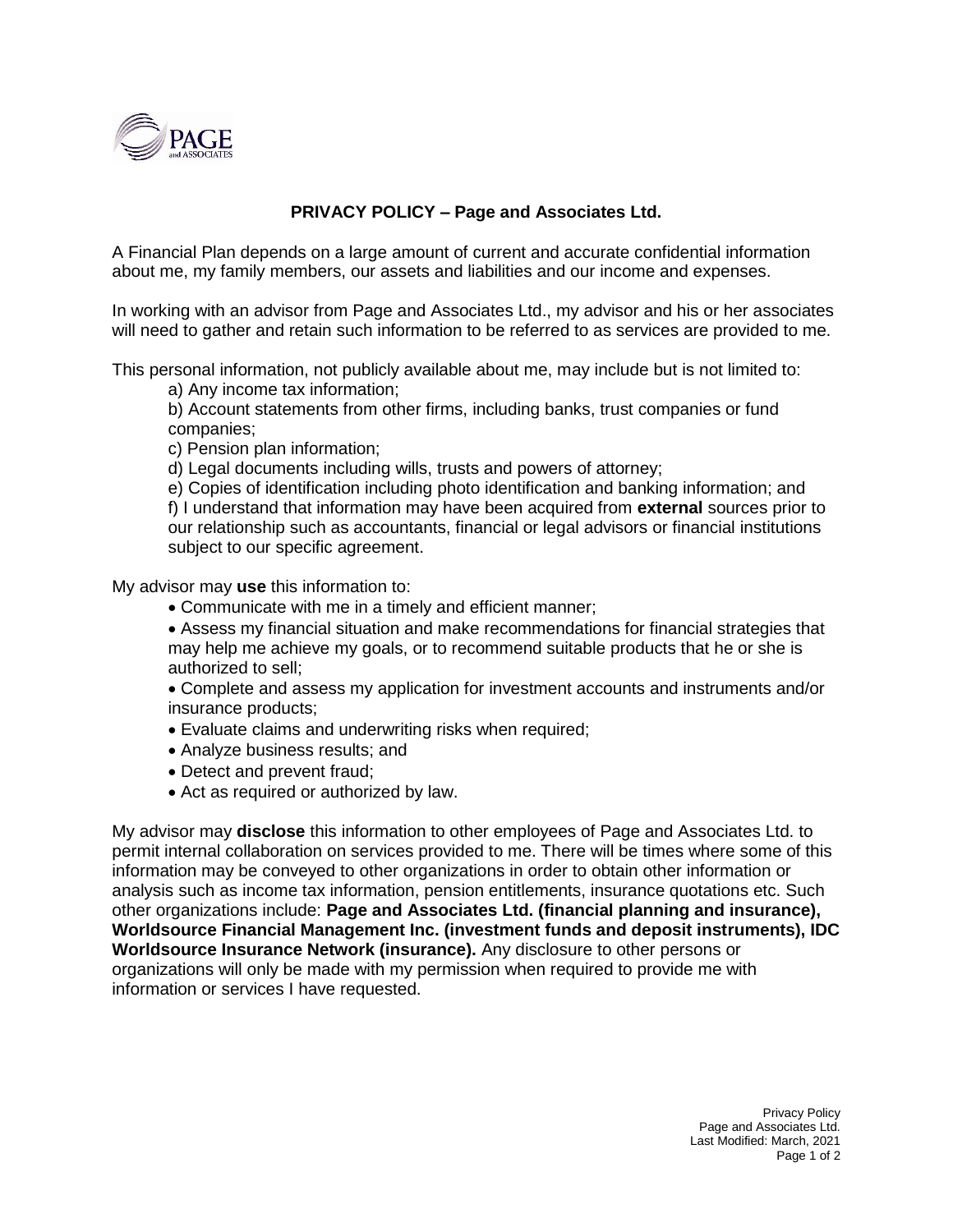

## **PRIVACY POLICY – Page and Associates Ltd.**

A Financial Plan depends on a large amount of current and accurate confidential information about me, my family members, our assets and liabilities and our income and expenses.

In working with an advisor from Page and Associates Ltd., my advisor and his or her associates will need to gather and retain such information to be referred to as services are provided to me.

This personal information, not publicly available about me, may include but is not limited to:

a) Any income tax information;

b) Account statements from other firms, including banks, trust companies or fund companies;

c) Pension plan information;

d) Legal documents including wills, trusts and powers of attorney;

e) Copies of identification including photo identification and banking information; and f) I understand that information may have been acquired from **external** sources prior to our relationship such as accountants, financial or legal advisors or financial institutions subject to our specific agreement.

My advisor may **use** this information to:

- Communicate with me in a timely and efficient manner;
- Assess my financial situation and make recommendations for financial strategies that may help me achieve my goals, or to recommend suitable products that he or she is authorized to sell;
- Complete and assess my application for investment accounts and instruments and/or insurance products;
- Evaluate claims and underwriting risks when required;
- Analyze business results; and
- Detect and prevent fraud;
- Act as required or authorized by law.

My advisor may **disclose** this information to other employees of Page and Associates Ltd. to permit internal collaboration on services provided to me. There will be times where some of this information may be conveyed to other organizations in order to obtain other information or analysis such as income tax information, pension entitlements, insurance quotations etc. Such other organizations include: **Page and Associates Ltd. (financial planning and insurance), Worldsource Financial Management Inc. (investment funds and deposit instruments), IDC Worldsource Insurance Network (insurance).** Any disclosure to other persons or organizations will only be made with my permission when required to provide me with information or services I have requested.